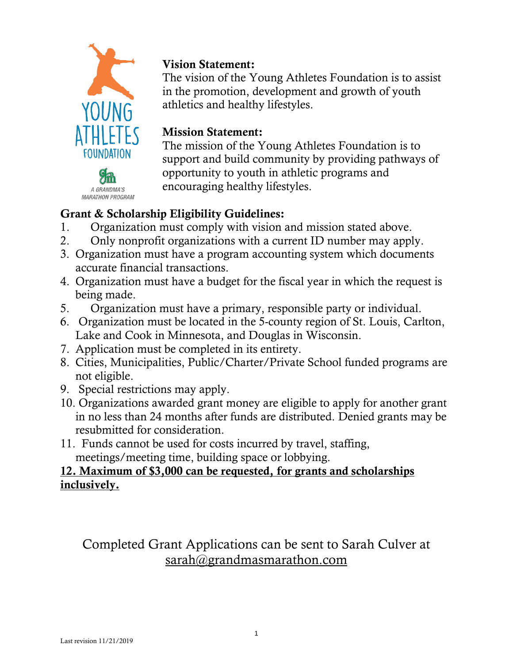



### Vision Statement:

The vision of the Young Athletes Foundation is to assist in the promotion, development and growth of youth athletics and healthy lifestyles.

## Mission Statement:

The mission of the Young Athletes Foundation is to support and build community by providing pathways of opportunity to youth in athletic programs and encouraging healthy lifestyles.

# Grant & Scholarship Eligibility Guidelines:

- 1. Organization must comply with vision and mission stated above.
- 2. Only nonprofit organizations with a current ID number may apply.
- 3. Organization must have a program accounting system which documents accurate financial transactions.
- 4. Organization must have a budget for the fiscal year in which the request is being made.
- 5. Organization must have a primary, responsible party or individual.
- 6. Organization must be located in the 5-county region of St. Louis, Carlton, Lake and Cook in Minnesota, and Douglas in Wisconsin.
- 7. Application must be completed in its entirety.
- 8. Cities, Municipalities, Public/Charter/Private School funded programs are not eligible.
- 9. Special restrictions may apply.
- 10. Organizations awarded grant money are eligible to apply for another grant in no less than 24 months after funds are distributed. Denied grants may be resubmitted for consideration.
- 11. Funds cannot be used for costs incurred by travel, staffing, meetings/meeting time, building space or lobbying.

### 12. Maximum of \$3,000 can be requested, for grants and scholarships inclusively.

Completed Grant Applications can be sent to Sarah Culver at [sarah@grandmasmarathon.com](mailto:sarah@grandmasmarathon.com)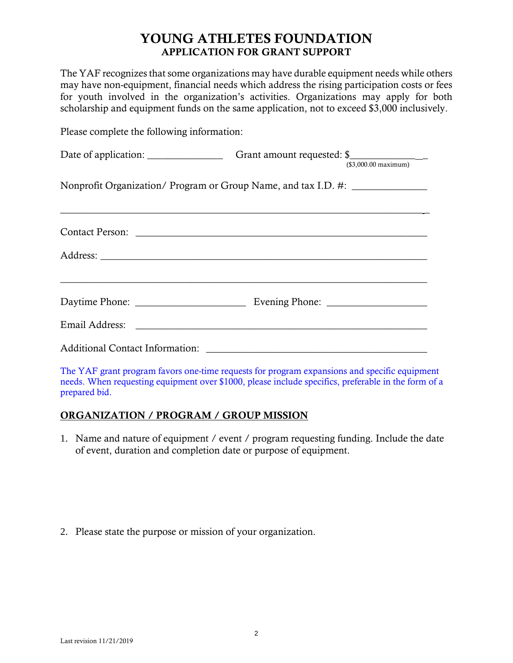#### YOUNG ATHLETES FOUNDATION APPLICATION FOR GRANT SUPPORT

The YAF recognizes that some organizations may have durable equipment needs while others may have non-equipment, financial needs which address the rising participation costs or fees for youth involved in the organization's activities. Organizations may apply for both scholarship and equipment funds on the same application, not to exceed \$3,000 inclusively.

Please complete the following information:

|                                                                                  | $($3,000.00$ maximum) |
|----------------------------------------------------------------------------------|-----------------------|
| Nonprofit Organization/ Program or Group Name, and tax I.D. #: _________________ |                       |
|                                                                                  |                       |
|                                                                                  |                       |
|                                                                                  |                       |
|                                                                                  |                       |
|                                                                                  |                       |

The YAF grant program favors one-time requests for program expansions and specific equipment needs. When requesting equipment over \$1000, please include specifics, preferable in the form of a prepared bid.

#### ORGANIZATION / PROGRAM / GROUP MISSION

1. Name and nature of equipment / event / program requesting funding. Include the date of event, duration and completion date or purpose of equipment.

2. Please state the purpose or mission of your organization.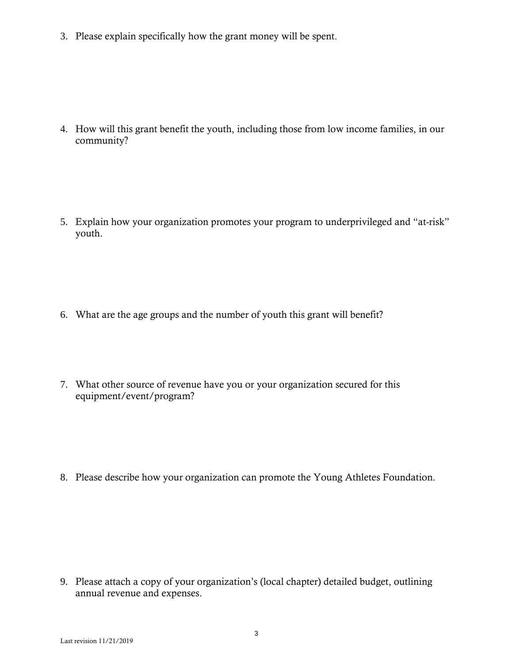3. Please explain specifically how the grant money will be spent.

4. How will this grant benefit the youth, including those from low income families, in our community?

5. Explain how your organization promotes your program to underprivileged and "at-risk" youth.

- 6. What are the age groups and the number of youth this grant will benefit?
- 7. What other source of revenue have you or your organization secured for this equipment/event/program?

8. Please describe how your organization can promote the Young Athletes Foundation.

9. Please attach a copy of your organization's (local chapter) detailed budget, outlining annual revenue and expenses.